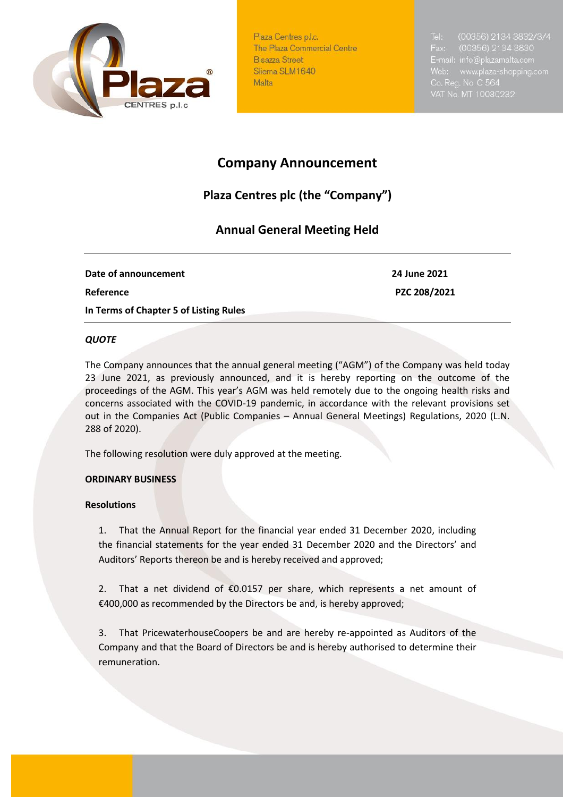

Plaza Centres p.l.c. The Plaza Commercial Centre **Bisazza Street** Sliema SLM1640 Malta

(00356) 2134 3832/3/4 (00356) 2134 3830 E-mail: info@plazamalta.com Web: www.plaza-shopping.com

# **Company Announcement**

## **Plaza Centres plc (the "Company")**

### **Annual General Meeting Held**

**Date of announcement** 24 June 2021 **Reference PZC 208/2021 In Terms of Chapter 5 of Listing Rules** 

#### *QUOTE*

The Company announces that the annual general meeting ("AGM") of the Company was held today 23 June 2021, as previously announced, and it is hereby reporting on the outcome of the proceedings of the AGM. This year's AGM was held remotely due to the ongoing health risks and concerns associated with the COVID-19 pandemic, in accordance with the relevant provisions set out in the Companies Act (Public Companies – Annual General Meetings) Regulations, 2020 (L.N. 288 of 2020).

The following resolution were duly approved at the meeting.

#### **ORDINARY BUSINESS**

#### **Resolutions**

1. That the Annual Report for the financial year ended 31 December 2020, including the financial statements for the year ended 31 December 2020 and the Directors' and Auditors' Reports thereon be and is hereby received and approved;

2. That a net dividend of  $$0.0157$  per share, which represents a net amount of €400,000 as recommended by the Directors be and, is hereby approved;

3. That PricewaterhouseCoopers be and are hereby re-appointed as Auditors of the Company and that the Board of Directors be and is hereby authorised to determine their remuneration.